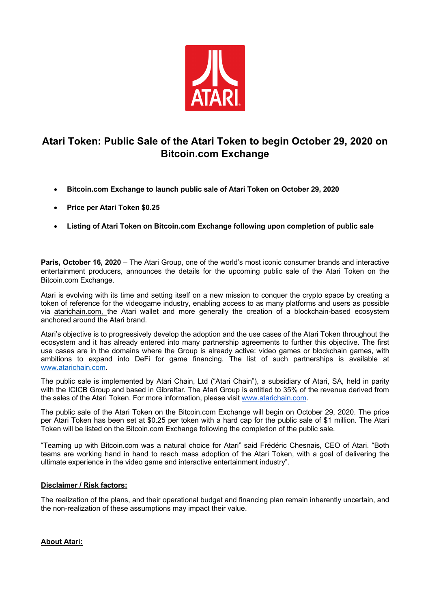

## **Atari Token: Public Sale of the Atari Token to begin October 29, 2020 on Bitcoin.com Exchange**

- **Bitcoin.com Exchange to launch public sale of Atari Token on October 29, 2020**
- **Price per Atari Token \$0.25**
- **Listing of Atari Token on Bitcoin.com Exchange following upon completion of public sale**

**Paris, October 16, 2020** – The Atari Group, one of the world's most iconic consumer brands and interactive entertainment producers, announces the details for the upcoming public sale of the Atari Token on the Bitcoin.com Exchange.

Atari is evolving with its time and setting itself on a new mission to conquer the crypto space by creating a token of reference for the videogame industry, enabling access to as many platforms and users as possible via atarichain.com, the Atari wallet and more generally the creation of a blockchain-based ecosystem anchored around the Atari brand.

Atari's objective is to progressively develop the adoption and the use cases of the Atari Token throughout the ecosystem and it has already entered into many partnership agreements to further this objective. The first use cases are in the domains where the Group is already active: video games or blockchain games, with ambitions to expand into DeFi for game financing. The list of such partnerships is available at www.atarichain.com.

The public sale is implemented by Atari Chain, Ltd ("Atari Chain"), a subsidiary of Atari, SA, held in parity with the ICICB Group and based in Gibraltar. The Atari Group is entitled to 35% of the revenue derived from the sales of the Atari Token. For more information, please visit www.atarichain.com.

The public sale of the Atari Token on the Bitcoin.com Exchange will begin on October 29, 2020. The price per Atari Token has been set at \$0.25 per token with a hard cap for the public sale of \$1 million. The Atari Token will be listed on the Bitcoin.com Exchange following the completion of the public sale.

"Teaming up with Bitcoin.com was a natural choice for Atari" said Frédéric Chesnais, CEO of Atari. "Both teams are working hand in hand to reach mass adoption of the Atari Token, with a goal of delivering the ultimate experience in the video game and interactive entertainment industry".

## **Disclaimer / Risk factors:**

The realization of the plans, and their operational budget and financing plan remain inherently uncertain, and the non-realization of these assumptions may impact their value.

**About Atari:**